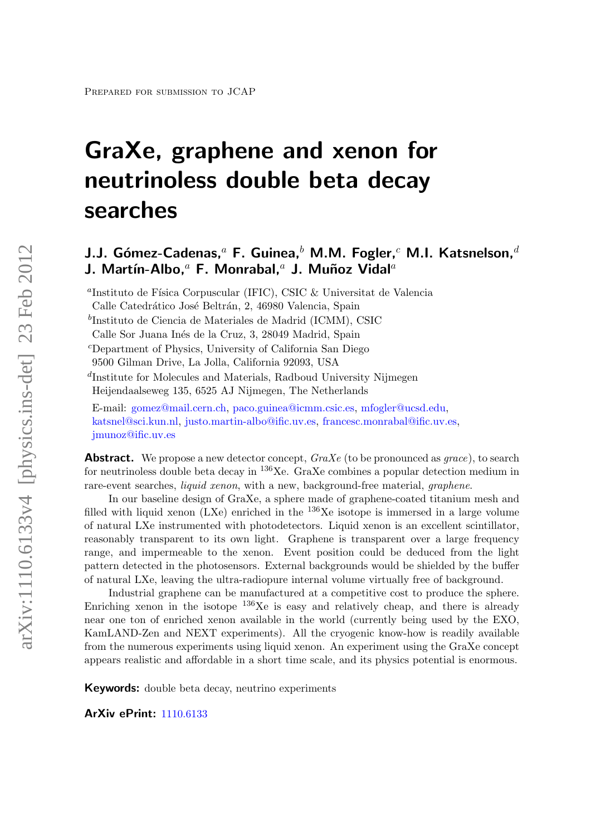# GraXe, graphene and xenon for neutrinoless double beta decay searches

# J.J. Gómez-Cadenas,<sup>a</sup> F. Guinea,<sup>b</sup> M.M. Fogler,<sup>c</sup> M.I. Katsnelson.<sup>d</sup> J. Martín-Albo,<sup>a</sup> F. Monrabal,<sup>a</sup> J. Muñoz Vidal<sup>a</sup>

<sup>a</sup>Instituto de Física Corpuscular (IFIC), CSIC & Universitat de Valencia

b Instituto de Ciencia de Materiales de Madrid (ICMM), CSIC

<sup>c</sup>Department of Physics, University of California San Diego

9500 Gilman Drive, La Jolla, California 92093, USA

d Institute for Molecules and Materials, Radboud University Nijmegen Heijendaalseweg 135, 6525 AJ Nijmegen, The Netherlands

E-mail: [gomez@mail.cern.ch,](mailto:gomez@mail.cern.ch) [paco.guinea@icmm.csic.es,](mailto:paco.guinea@icmm.csic.es) [mfogler@ucsd.edu,](mailto:mfogler@ucsd.edu) [katsnel@sci.kun.nl,](mailto:katsnel@sci.kun.nl) [justo.martin-albo@ific.uv.es,](mailto:justo.martin-albo@ific.uv.es) [francesc.monrabal@ific.uv.es,](mailto:francesc.monrabal@ific.uv.es) [jmunoz@ific.uv.es](mailto:jmunoz@ific.uv.es)

**Abstract.** We propose a new detector concept,  $GraXe$  (to be pronounced as grace), to search for neutrinoless double beta decay in  $^{136}$ Xe. GraXe combines a popular detection medium in rare-event searches, *liquid xenon*, with a new, background-free material, *graphene*.

In our baseline design of GraXe, a sphere made of graphene-coated titanium mesh and filled with liquid xenon (LXe) enriched in the  $^{136}$ Xe isotope is immersed in a large volume of natural LXe instrumented with photodetectors. Liquid xenon is an excellent scintillator, reasonably transparent to its own light. Graphene is transparent over a large frequency range, and impermeable to the xenon. Event position could be deduced from the light pattern detected in the photosensors. External backgrounds would be shielded by the buffer of natural LXe, leaving the ultra-radiopure internal volume virtually free of background.

Industrial graphene can be manufactured at a competitive cost to produce the sphere. Enriching xenon in the isotope  $^{136}$ Xe is easy and relatively cheap, and there is already near one ton of enriched xenon available in the world (currently being used by the EXO, KamLAND-Zen and NEXT experiments). All the cryogenic know-how is readily available from the numerous experiments using liquid xenon. An experiment using the GraXe concept appears realistic and affordable in a short time scale, and its physics potential is enormous.

Keywords: double beta decay, neutrino experiments

ArXiv ePrint: [1110.6133](http://arxiv.org/abs/1110.6133)

Calle Catedrático José Beltrán, 2, 46980 Valencia, Spain

Calle Sor Juana Inés de la Cruz, 3, 28049 Madrid, Spain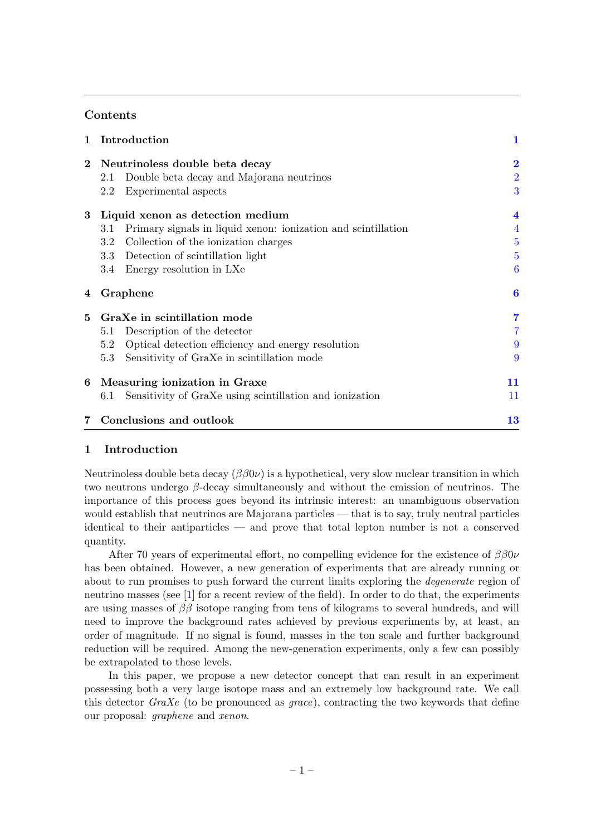### **Contents**

| 1           | Introduction                                                         |                |  |
|-------------|----------------------------------------------------------------------|----------------|--|
| $\bf{2}$    | Neutrinoless double beta decay                                       |                |  |
|             | Double beta decay and Majorana neutrinos<br>2.1                      | $\overline{2}$ |  |
|             | Experimental aspects<br>2.2                                          | 3              |  |
| $\bf{3}$    | Liquid xenon as detection medium                                     |                |  |
|             | Primary signals in liquid xenon: ionization and scintillation<br>3.1 | $\overline{4}$ |  |
|             | Collection of the ionization charges<br>$3.2\,$                      | $\overline{5}$ |  |
|             | Detection of scintillation light<br>$3.3\,$                          | $\overline{5}$ |  |
|             | Energy resolution in LXe<br>3.4                                      | 6              |  |
| 4           | Graphene                                                             | 6              |  |
| 5           | GraXe in scintillation mode                                          | 7              |  |
|             | Description of the detector<br>5.1                                   |                |  |
|             | Optical detection efficiency and energy resolution<br>5.2            | 9              |  |
|             | Sensitivity of GraXe in scintillation mode<br>5.3                    | 9              |  |
| 6           | Measuring ionization in Graxe                                        |                |  |
|             | Sensitivity of GraXe using scintillation and ionization<br>6.1       | 11             |  |
| $7^{\circ}$ | Conclusions and outlook                                              | 13             |  |

# <span id="page-1-0"></span>1 Introduction

Neutrinoless double beta decay  $(\beta \beta 0\nu)$  is a hypothetical, very slow nuclear transition in which two neutrons undergo β-decay simultaneously and without the emission of neutrinos. The importance of this process goes beyond its intrinsic interest: an unambiguous observation would establish that neutrinos are Majorana particles — that is to say, truly neutral particles identical to their antiparticles — and prove that total lepton number is not a conserved quantity.

After 70 years of experimental effort, no compelling evidence for the existence of  $\beta\beta 0\nu$ has been obtained. However, a new generation of experiments that are already running or about to run promises to push forward the current limits exploring the degenerate region of neutrino masses (see [\[1\]](#page-14-0) for a recent review of the field). In order to do that, the experiments are using masses of  $\beta\beta$  isotope ranging from tens of kilograms to several hundreds, and will need to improve the background rates achieved by previous experiments by, at least, an order of magnitude. If no signal is found, masses in the ton scale and further background reduction will be required. Among the new-generation experiments, only a few can possibly be extrapolated to those levels.

In this paper, we propose a new detector concept that can result in an experiment possessing both a very large isotope mass and an extremely low background rate. We call this detector  $GraXe$  (to be pronounced as *grace*), contracting the two keywords that define our proposal: graphene and xenon.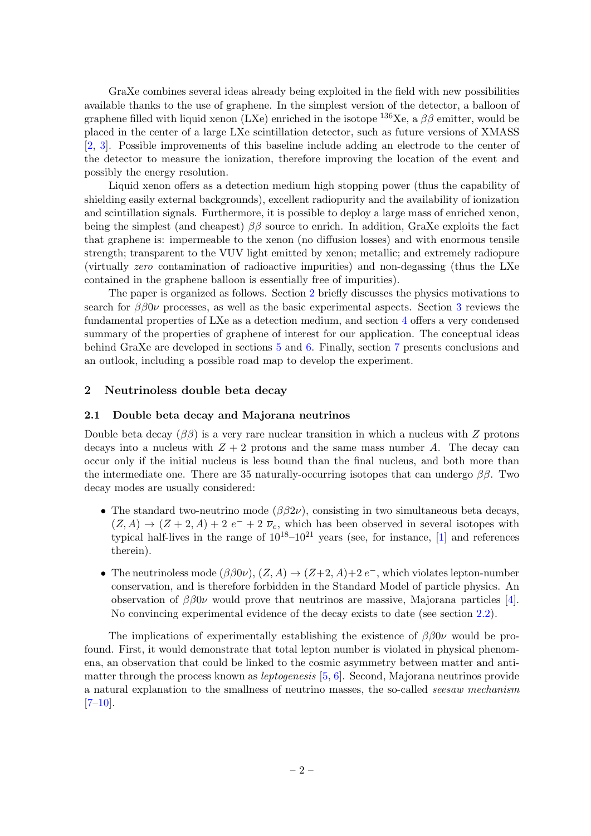GraXe combines several ideas already being exploited in the field with new possibilities available thanks to the use of graphene. In the simplest version of the detector, a balloon of graphene filled with liquid xenon (LXe) enriched in the isotope  $^{136}Xe$ , a  $\beta\beta$  emitter, would be placed in the center of a large LXe scintillation detector, such as future versions of XMASS [\[2,](#page-14-1) [3\]](#page-14-2). Possible improvements of this baseline include adding an electrode to the center of the detector to measure the ionization, therefore improving the location of the event and possibly the energy resolution.

Liquid xenon offers as a detection medium high stopping power (thus the capability of shielding easily external backgrounds), excellent radiopurity and the availability of ionization and scintillation signals. Furthermore, it is possible to deploy a large mass of enriched xenon, being the simplest (and cheapest)  $\beta\beta$  source to enrich. In addition, GraXe exploits the fact that graphene is: impermeable to the xenon (no diffusion losses) and with enormous tensile strength; transparent to the VUV light emitted by xenon; metallic; and extremely radiopure (virtually zero contamination of radioactive impurities) and non-degassing (thus the LXe contained in the graphene balloon is essentially free of impurities).

The paper is organized as follows. Section [2](#page-2-0) briefly discusses the physics motivations to search for  $\beta\beta 0\nu$  processes, as well as the basic experimental aspects. Section [3](#page-4-0) reviews the fundamental properties of LXe as a detection medium, and section [4](#page-6-1) offers a very condensed summary of the properties of graphene of interest for our application. The conceptual ideas behind GraXe are developed in sections [5](#page-7-0) and [6.](#page-11-0) Finally, section [7](#page-13-0) presents conclusions and an outlook, including a possible road map to develop the experiment.

#### <span id="page-2-0"></span>2 Neutrinoless double beta decay

#### <span id="page-2-1"></span>2.1 Double beta decay and Majorana neutrinos

Double beta decay ( $\beta\beta$ ) is a very rare nuclear transition in which a nucleus with Z protons decays into a nucleus with  $Z + 2$  protons and the same mass number A. The decay can occur only if the initial nucleus is less bound than the final nucleus, and both more than the intermediate one. There are 35 naturally-occurring isotopes that can undergo  $\beta\beta$ . Two decay modes are usually considered:

- The standard two-neutrino mode  $(\beta \beta 2\nu)$ , consisting in two simultaneous beta decays,  $(Z, A) \rightarrow (Z + 2, A) + 2 e^- + 2 \bar{\nu}_e$ , which has been observed in several isotopes with typical half-lives in the range of  $10^{18}-10^{21}$  years (see, for instance, [\[1\]](#page-14-0) and references therein).
- The neutrinoless mode  $(\beta \beta 0\nu)$ ,  $(Z, A) \rightarrow (Z+2, A)+2e^-$ , which violates lepton-number conservation, and is therefore forbidden in the Standard Model of particle physics. An observation of  $\beta\beta 0\nu$  would prove that neutrinos are massive, Majorana particles [\[4\]](#page-14-3). No convincing experimental evidence of the decay exists to date (see section [2.2\)](#page-3-0).

The implications of experimentally establishing the existence of  $\beta\beta 0\nu$  would be profound. First, it would demonstrate that total lepton number is violated in physical phenomena, an observation that could be linked to the cosmic asymmetry between matter and antimatter through the process known as leptogenesis [\[5,](#page-14-4) [6\]](#page-14-5). Second, Majorana neutrinos provide a natural explanation to the smallness of neutrino masses, the so-called seesaw mechanism  $[7-10]$  $[7-10]$ .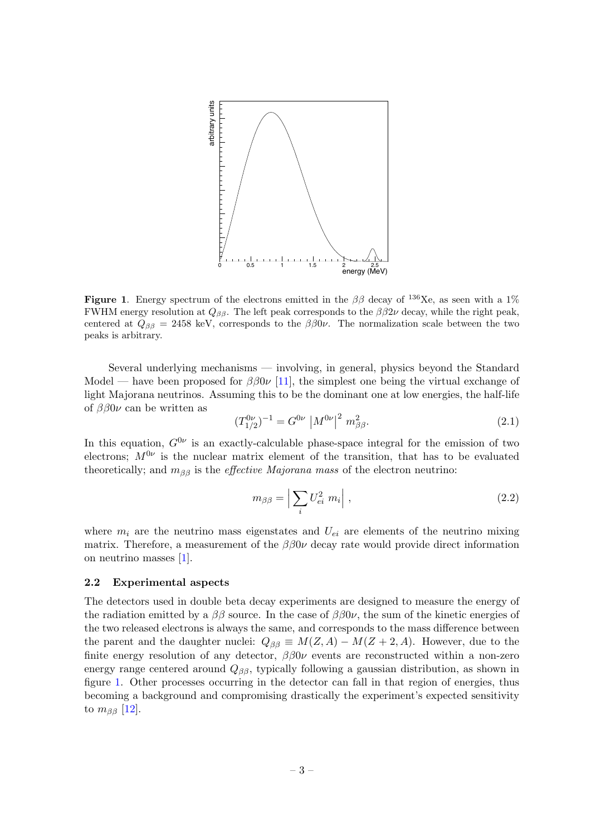

<span id="page-3-1"></span>Figure 1. Energy spectrum of the electrons emitted in the  $\beta\beta$  decay of <sup>136</sup>Xe, as seen with a 1% FWHM energy resolution at  $Q_{\beta\beta}$ . The left peak corresponds to the  $\beta\beta 2\nu$  decay, while the right peak, centered at  $Q_{\beta\beta} = 2458$  keV, corresponds to the  $\beta\beta 0\nu$ . The normalization scale between the two peaks is arbitrary.

Several underlying mechanisms — involving, in general, physics beyond the Standard Model — have been proposed for  $\beta \beta 0\nu$  [\[11\]](#page-14-8), the simplest one being the virtual exchange of light Majorana neutrinos. Assuming this to be the dominant one at low energies, the half-life of  $\beta\beta 0\nu$  can be written as

$$
(T_{1/2}^{0\nu})^{-1} = G^{0\nu} \, \left| M^{0\nu} \right|^2 \, m_{\beta\beta}^2. \tag{2.1}
$$

In this equation,  $G^{0\nu}$  is an exactly-calculable phase-space integral for the emission of two electrons;  $M^{0\nu}$  is the nuclear matrix element of the transition, that has to be evaluated theoretically; and  $m_{\beta\beta}$  is the *effective Majorana mass* of the electron neutrino:

$$
m_{\beta\beta} = \left| \sum_{i} U_{ei}^{2} m_{i} \right|, \qquad (2.2)
$$

where  $m_i$  are the neutrino mass eigenstates and  $U_{ei}$  are elements of the neutrino mixing matrix. Therefore, a measurement of the  $\beta\beta 0\nu$  decay rate would provide direct information on neutrino masses [\[1\]](#page-14-0).

#### <span id="page-3-0"></span>2.2 Experimental aspects

The detectors used in double beta decay experiments are designed to measure the energy of the radiation emitted by a  $\beta\beta$  source. In the case of  $\beta\beta 0\nu$ , the sum of the kinetic energies of the two released electrons is always the same, and corresponds to the mass difference between the parent and the daughter nuclei:  $Q_{\beta\beta} \equiv M(Z, A) - M(Z + 2, A)$ . However, due to the finite energy resolution of any detector,  $\beta\beta 0\nu$  events are reconstructed within a non-zero energy range centered around  $Q_{\beta\beta}$ , typically following a gaussian distribution, as shown in figure [1.](#page-3-1) Other processes occurring in the detector can fall in that region of energies, thus becoming a background and compromising drastically the experiment's expected sensitivity to  $m_{\beta\beta}$  [\[12\]](#page-14-9).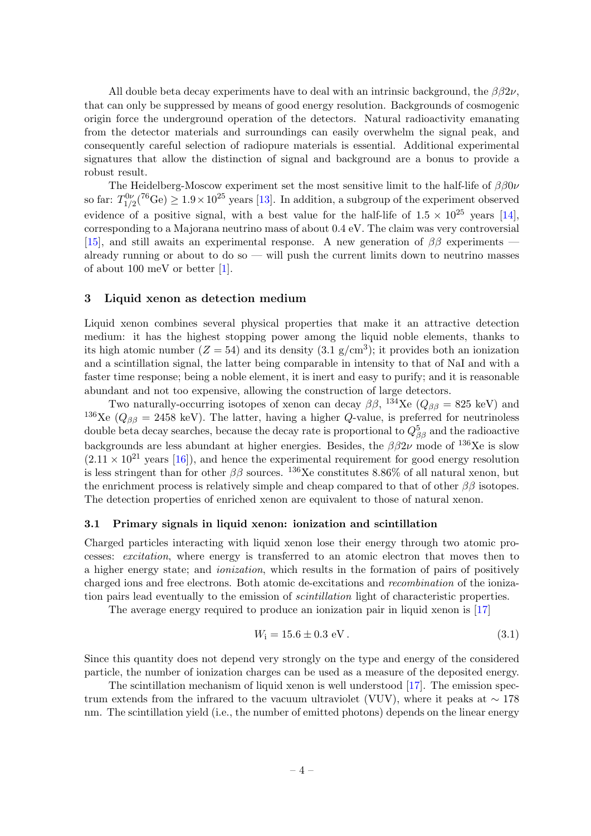All double beta decay experiments have to deal with an intrinsic background, the  $\beta\beta 2\nu$ , that can only be suppressed by means of good energy resolution. Backgrounds of cosmogenic origin force the underground operation of the detectors. Natural radioactivity emanating from the detector materials and surroundings can easily overwhelm the signal peak, and consequently careful selection of radiopure materials is essential. Additional experimental signatures that allow the distinction of signal and background are a bonus to provide a robust result.

The Heidelberg-Moscow experiment set the most sensitive limit to the half-life of  $\beta\beta0\nu$ so far:  $T_{1/2}^{0\nu}({}^{76}\text{Ge}) \geq 1.9 \times 10^{25}$  years [\[13\]](#page-15-0). In addition, a subgroup of the experiment observed evidence of a positive signal, with a best value for the half-life of  $1.5 \times 10^{25}$  years [\[14\]](#page-15-1), corresponding to a Majorana neutrino mass of about 0.4 eV. The claim was very controversial [\[15\]](#page-15-2), and still awaits an experimental response. A new generation of  $\beta\beta$  experiments already running or about to do so  $-$  will push the current limits down to neutrino masses of about 100 meV or better [\[1\]](#page-14-0).

#### <span id="page-4-0"></span>3 Liquid xenon as detection medium

Liquid xenon combines several physical properties that make it an attractive detection medium: it has the highest stopping power among the liquid noble elements, thanks to its high atomic number  $(Z = 54)$  and its density  $(3.1 \text{ g/cm}^3)$ ; it provides both an ionization and a scintillation signal, the latter being comparable in intensity to that of NaI and with a faster time response; being a noble element, it is inert and easy to purify; and it is reasonable abundant and not too expensive, allowing the construction of large detectors.

Two naturally-occurring isotopes of xenon can decay  $\beta\beta$ ,  $^{134}$ Xe ( $Q_{\beta\beta} = 825$  keV) and <sup>136</sup>Xe ( $Q_{\beta\beta} = 2458$  keV). The latter, having a higher Q-value, is preferred for neutrinoless double beta decay searches, because the decay rate is proportional to  $Q_{\beta\beta}^5$  and the radioactive backgrounds are less abundant at higher energies. Besides, the  $\beta\beta 2\nu$  mode of <sup>136</sup>Xe is slow  $(2.11 \times 10^{21} \text{ years}$  [\[16\]](#page-15-3)), and hence the experimental requirement for good energy resolution is less stringent than for other  $\beta\beta$  sources. <sup>136</sup>Xe constitutes 8.86% of all natural xenon, but the enrichment process is relatively simple and cheap compared to that of other  $\beta\beta$  isotopes. The detection properties of enriched xenon are equivalent to those of natural xenon.

#### <span id="page-4-1"></span>3.1 Primary signals in liquid xenon: ionization and scintillation

Charged particles interacting with liquid xenon lose their energy through two atomic processes: excitation, where energy is transferred to an atomic electron that moves then to a higher energy state; and ionization, which results in the formation of pairs of positively charged ions and free electrons. Both atomic de-excitations and recombination of the ionization pairs lead eventually to the emission of *scintillation* light of characteristic properties.

The average energy required to produce an ionization pair in liquid xenon is [\[17\]](#page-15-4)

$$
W_{\mathbf{i}} = 15.6 \pm 0.3 \text{ eV} \,. \tag{3.1}
$$

Since this quantity does not depend very strongly on the type and energy of the considered particle, the number of ionization charges can be used as a measure of the deposited energy.

The scintillation mechanism of liquid xenon is well understood [\[17\]](#page-15-4). The emission spectrum extends from the infrared to the vacuum ultraviolet (VUV), where it peaks at  $\sim 178$ nm. The scintillation yield (i.e., the number of emitted photons) depends on the linear energy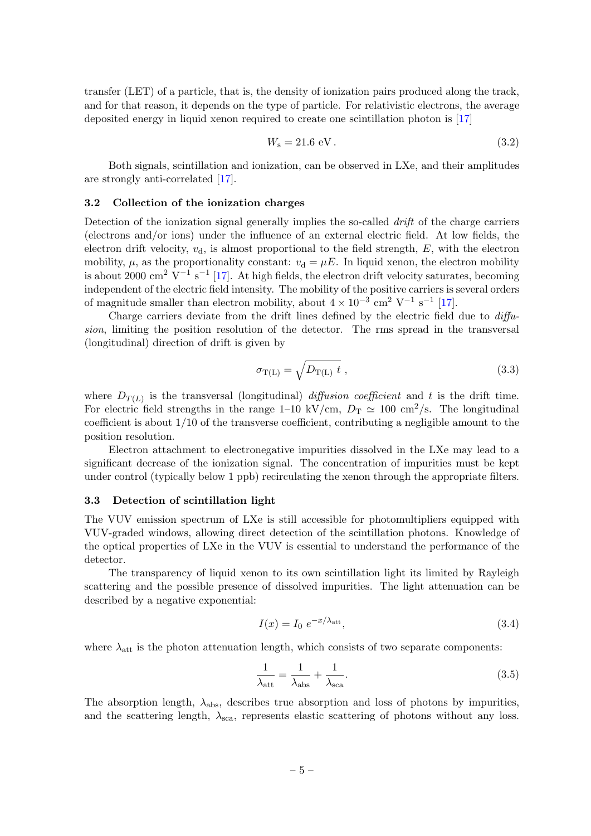transfer (LET) of a particle, that is, the density of ionization pairs produced along the track, and for that reason, it depends on the type of particle. For relativistic electrons, the average deposited energy in liquid xenon required to create one scintillation photon is [\[17\]](#page-15-4)

$$
W_{\rm s} = 21.6 \, \text{eV} \,. \tag{3.2}
$$

Both signals, scintillation and ionization, can be observed in LXe, and their amplitudes are strongly anti-correlated [\[17\]](#page-15-4).

#### <span id="page-5-0"></span>3.2 Collection of the ionization charges

Detection of the ionization signal generally implies the so-called *drift* of the charge carriers (electrons and/or ions) under the influence of an external electric field. At low fields, the electron drift velocity,  $v<sub>d</sub>$ , is almost proportional to the field strength,  $E$ , with the electron mobility,  $\mu$ , as the proportionality constant:  $v_d = \mu E$ . In liquid xenon, the electron mobility is about 2000 cm<sup>2</sup> V<sup>-1</sup> s<sup>-1</sup> [\[17\]](#page-15-4). At high fields, the electron drift velocity saturates, becoming independent of the electric field intensity. The mobility of the positive carriers is several orders of magnitude smaller than electron mobility, about  $4 \times 10^{-3}$  cm<sup>2</sup> V<sup>-1</sup> s<sup>-1</sup> [\[17\]](#page-15-4).

Charge carriers deviate from the drift lines defined by the electric field due to diffusion, limiting the position resolution of the detector. The rms spread in the transversal (longitudinal) direction of drift is given by

$$
\sigma_{\rm T(L)} = \sqrt{D_{\rm T(L)}} \, t \tag{3.3}
$$

where  $D_{T(L)}$  is the transversal (longitudinal) *diffusion coefficient* and t is the drift time. For electric field strengths in the range 1–10 kV/cm,  $D_T \simeq 100 \text{ cm}^2/\text{s}$ . The longitudinal coefficient is about 1/10 of the transverse coefficient, contributing a negligible amount to the position resolution.

Electron attachment to electronegative impurities dissolved in the LXe may lead to a significant decrease of the ionization signal. The concentration of impurities must be kept under control (typically below 1 ppb) recirculating the xenon through the appropriate filters.

#### <span id="page-5-1"></span>3.3 Detection of scintillation light

The VUV emission spectrum of LXe is still accessible for photomultipliers equipped with VUV-graded windows, allowing direct detection of the scintillation photons. Knowledge of the optical properties of LXe in the VUV is essential to understand the performance of the detector.

The transparency of liquid xenon to its own scintillation light its limited by Rayleigh scattering and the possible presence of dissolved impurities. The light attenuation can be described by a negative exponential:

$$
I(x) = I_0 e^{-x/\lambda_{\text{att}}},\tag{3.4}
$$

where  $\lambda_{\text{att}}$  is the photon attenuation length, which consists of two separate components:

<span id="page-5-2"></span>
$$
\frac{1}{\lambda_{\text{att}}} = \frac{1}{\lambda_{\text{abs}}} + \frac{1}{\lambda_{\text{sca}}}.\tag{3.5}
$$

The absorption length,  $\lambda_{\text{abs}}$ , describes true absorption and loss of photons by impurities, and the scattering length,  $\lambda_{\text{sca}}$ , represents elastic scattering of photons without any loss.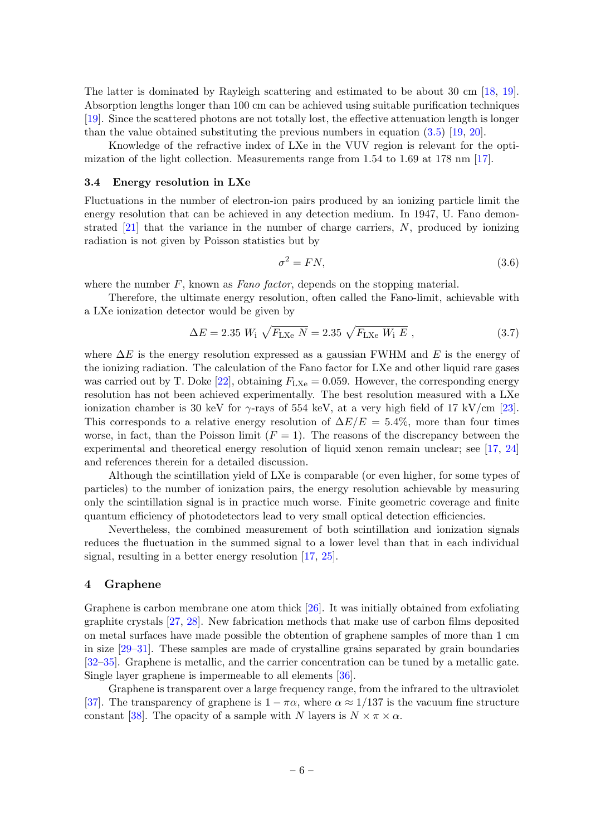The latter is dominated by Rayleigh scattering and estimated to be about 30 cm [\[18,](#page-15-5) [19\]](#page-15-6). Absorption lengths longer than 100 cm can be achieved using suitable purification techniques [\[19\]](#page-15-6). Since the scattered photons are not totally lost, the effective attenuation length is longer than the value obtained substituting the previous numbers in equation [\(3.5\)](#page-5-2) [\[19,](#page-15-6) [20\]](#page-15-7).

Knowledge of the refractive index of LXe in the VUV region is relevant for the optimization of the light collection. Measurements range from 1.54 to 1.69 at 178 nm [\[17\]](#page-15-4).

#### <span id="page-6-0"></span>3.4 Energy resolution in LXe

Fluctuations in the number of electron-ion pairs produced by an ionizing particle limit the energy resolution that can be achieved in any detection medium. In 1947, U. Fano demonstrated [\[21\]](#page-15-8) that the variance in the number of charge carriers, N, produced by ionizing radiation is not given by Poisson statistics but by

$$
\sigma^2 = FN,\tag{3.6}
$$

where the number  $F$ , known as Fano factor, depends on the stopping material.

Therefore, the ultimate energy resolution, often called the Fano-limit, achievable with a LXe ionization detector would be given by

$$
\Delta E = 2.35 \ W_{\rm i} \ \sqrt{F_{\rm LXe} \ N} = 2.35 \ \sqrt{F_{\rm LXe} \ W_{\rm i} \ E} \ , \tag{3.7}
$$

where  $\Delta E$  is the energy resolution expressed as a gaussian FWHM and E is the energy of the ionizing radiation. The calculation of the Fano factor for LXe and other liquid rare gases was carried out by T. Doke [\[22\]](#page-15-9), obtaining  $F_{\text{LXe}} = 0.059$ . However, the corresponding energy resolution has not been achieved experimentally. The best resolution measured with a LXe ionization chamber is 30 keV for  $\gamma$ -rays of 554 keV, at a very high field of 17 kV/cm [\[23\]](#page-15-10). This corresponds to a relative energy resolution of  $\Delta E/E = 5.4\%$ , more than four times worse, in fact, than the Poisson limit  $(F = 1)$ . The reasons of the discrepancy between the experimental and theoretical energy resolution of liquid xenon remain unclear; see [\[17,](#page-15-4) [24\]](#page-15-11) and references therein for a detailed discussion.

Although the scintillation yield of LXe is comparable (or even higher, for some types of particles) to the number of ionization pairs, the energy resolution achievable by measuring only the scintillation signal is in practice much worse. Finite geometric coverage and finite quantum efficiency of photodetectors lead to very small optical detection efficiencies.

Nevertheless, the combined measurement of both scintillation and ionization signals reduces the fluctuation in the summed signal to a lower level than that in each individual signal, resulting in a better energy resolution [\[17,](#page-15-4) [25\]](#page-15-12).

#### <span id="page-6-1"></span>4 Graphene

Graphene is carbon membrane one atom thick [\[26\]](#page-15-13). It was initially obtained from exfoliating graphite crystals [\[27,](#page-15-14) [28\]](#page-15-15). New fabrication methods that make use of carbon films deposited on metal surfaces have made possible the obtention of graphene samples of more than 1 cm in size [\[29–](#page-15-16)[31\]](#page-15-17). These samples are made of crystalline grains separated by grain boundaries [\[32](#page-16-0)[–35\]](#page-16-1). Graphene is metallic, and the carrier concentration can be tuned by a metallic gate. Single layer graphene is impermeable to all elements [\[36\]](#page-16-2).

Graphene is transparent over a large frequency range, from the infrared to the ultraviolet [\[37\]](#page-16-3). The transparency of graphene is  $1 - \pi \alpha$ , where  $\alpha \approx 1/137$  is the vacuum fine structure constant [\[38\]](#page-16-4). The opacity of a sample with N layers is  $N \times \pi \times \alpha$ .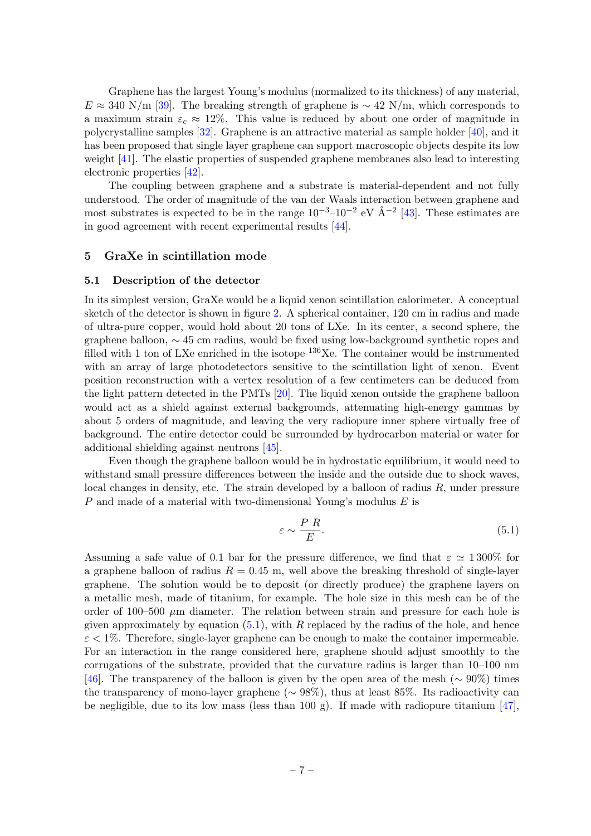Graphene has the largest Young's modulus (normalized to its thickness) of any material,  $E \approx 340$  N/m [\[39\]](#page-16-5). The breaking strength of graphene is ~ 42 N/m, which corresponds to a maximum strain  $\varepsilon_c \approx 12\%$ . This value is reduced by about one order of magnitude in polycrystalline samples [\[32\]](#page-16-0). Graphene is an attractive material as sample holder [\[40\]](#page-16-6), and it has been proposed that single layer graphene can support macroscopic objects despite its low weight [\[41\]](#page-16-7). The elastic properties of suspended graphene membranes also lead to interesting electronic properties [\[42\]](#page-16-8).

The coupling between graphene and a substrate is material-dependent and not fully understood. The order of magnitude of the van der Waals interaction between graphene and most substrates is expected to be in the range  $10^{-3}$ – $10^{-2}$  eV  $\AA$ <sup>–2</sup> [\[43\]](#page-16-9). These estimates are in good agreement with recent experimental results [\[44\]](#page-16-10).

#### <span id="page-7-0"></span>5 GraXe in scintillation mode

#### <span id="page-7-1"></span>5.1 Description of the detector

In its simplest version, GraXe would be a liquid xenon scintillation calorimeter. A conceptual sketch of the detector is shown in figure [2.](#page-8-0) A spherical container, 120 cm in radius and made of ultra-pure copper, would hold about 20 tons of LXe. In its center, a second sphere, the graphene balloon, ∼ 45 cm radius, would be fixed using low-background synthetic ropes and filled with 1 ton of LXe enriched in the isotope  $136Xe$ . The container would be instrumented with an array of large photodetectors sensitive to the scintillation light of xenon. Event position reconstruction with a vertex resolution of a few centimeters can be deduced from the light pattern detected in the PMTs [\[20\]](#page-15-7). The liquid xenon outside the graphene balloon would act as a shield against external backgrounds, attenuating high-energy gammas by about 5 orders of magnitude, and leaving the very radiopure inner sphere virtually free of background. The entire detector could be surrounded by hydrocarbon material or water for additional shielding against neutrons [\[45\]](#page-16-11).

Even though the graphene balloon would be in hydrostatic equilibrium, it would need to withstand small pressure differences between the inside and the outside due to shock waves, local changes in density, etc. The strain developed by a balloon of radius  $R$ , under pressure P and made of a material with two-dimensional Young's modulus E is

<span id="page-7-2"></span>
$$
\varepsilon \sim \frac{P \ R}{E}.\tag{5.1}
$$

Assuming a safe value of 0.1 bar for the pressure difference, we find that  $\varepsilon \simeq 1300\%$  for a graphene balloon of radius  $R = 0.45$  m, well above the breaking threshold of single-layer graphene. The solution would be to deposit (or directly produce) the graphene layers on a metallic mesh, made of titanium, for example. The hole size in this mesh can be of the order of 100–500  $\mu$ m diameter. The relation between strain and pressure for each hole is given approximately by equation  $(5.1)$ , with R replaced by the radius of the hole, and hence  $\varepsilon < 1\%$ . Therefore, single-layer graphene can be enough to make the container impermeable. For an interaction in the range considered here, graphene should adjust smoothly to the corrugations of the substrate, provided that the curvature radius is larger than 10–100 nm [\[46\]](#page-16-12). The transparency of the balloon is given by the open area of the mesh ( $\sim 90\%$ ) times the transparency of mono-layer graphene ( $\sim 98\%$ ), thus at least 85%. Its radioactivity can be negligible, due to its low mass (less than 100 g). If made with radiopure titanium [\[47\]](#page-16-13),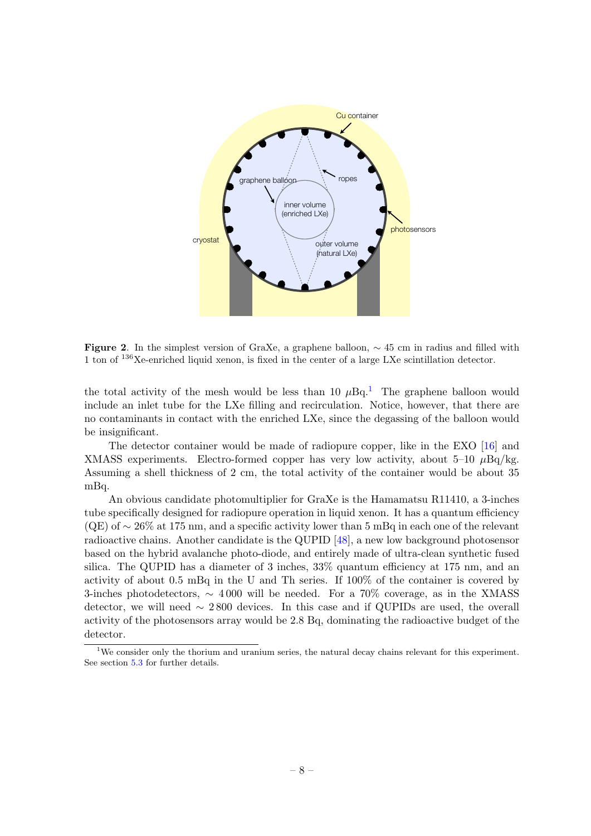

<span id="page-8-0"></span>Figure 2. In the simplest version of GraXe, a graphene balloon,  $\sim$  45 cm in radius and filled with 1 ton of <sup>136</sup>Xe-enriched liquid xenon, is fixed in the center of a large LXe scintillation detector.

the total activity of the mesh would be less than [1](#page-8-1)0  $\mu$ Bq.<sup>1</sup> The graphene balloon would include an inlet tube for the LXe filling and recirculation. Notice, however, that there are no contaminants in contact with the enriched LXe, since the degassing of the balloon would be insignificant.

The detector container would be made of radiopure copper, like in the EXO [\[16\]](#page-15-3) and XMASS experiments. Electro-formed copper has very low activity, about 5–10  $\mu$ Bq/kg. Assuming a shell thickness of 2 cm, the total activity of the container would be about 35 mBq.

An obvious candidate photomultiplier for GraXe is the Hamamatsu R11410, a 3-inches tube specifically designed for radiopure operation in liquid xenon. It has a quantum efficiency (QE) of ∼ 26% at 175 nm, and a specific activity lower than 5 mBq in each one of the relevant radioactive chains. Another candidate is the QUPID [\[48\]](#page-16-14), a new low background photosensor based on the hybrid avalanche photo-diode, and entirely made of ultra-clean synthetic fused silica. The QUPID has a diameter of 3 inches, 33% quantum efficiency at 175 nm, and an activity of about 0.5 mBq in the U and Th series. If 100% of the container is covered by 3-inches photodetectors,  $\sim 4000$  will be needed. For a 70% coverage, as in the XMASS detector, we will need  $\sim$  2800 devices. In this case and if QUPIDs are used, the overall activity of the photosensors array would be 2.8 Bq, dominating the radioactive budget of the detector.

<span id="page-8-1"></span><sup>&</sup>lt;sup>1</sup>We consider only the thorium and uranium series, the natural decay chains relevant for this experiment. See section [5.3](#page-9-1) for further details.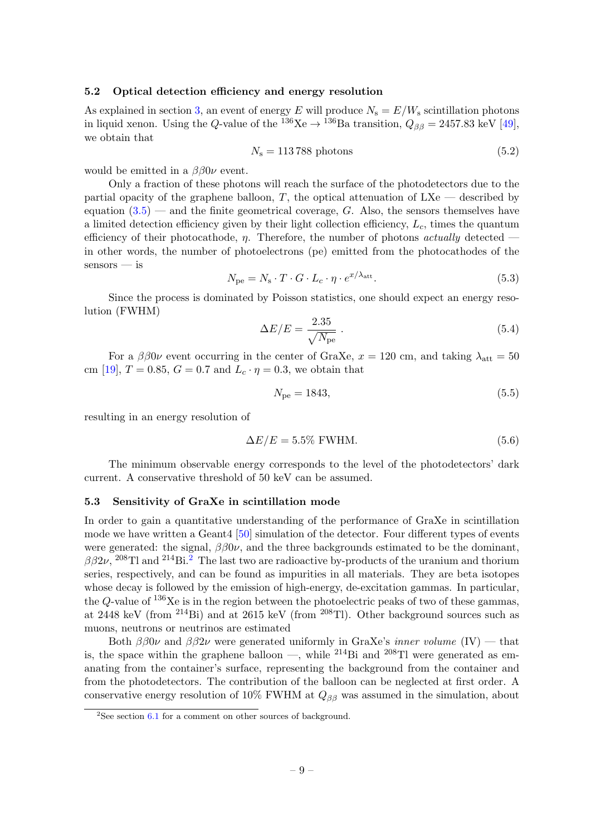#### <span id="page-9-0"></span>5.2 Optical detection efficiency and energy resolution

As explained in section [3,](#page-4-0) an event of energy E will produce  $N_s = E/W_s$  scintillation photons in liquid xenon. Using the Q-value of the  $^{136}\text{Xe} \rightarrow ^{136}\text{Ba}$  transition,  $Q_{\beta\beta} = 2457.83$  keV [\[49\]](#page-17-0), we obtain that

$$
N_{\rm s} = 113\,788\,\,\text{photons}\tag{5.2}
$$

would be emitted in a  $\beta\beta 0\nu$  event.

Only a fraction of these photons will reach the surface of the photodetectors due to the partial opacity of the graphene balloon,  $T$ , the optical attenuation of  $LXe$  — described by equation  $(3.5)$  — and the finite geometrical coverage, G. Also, the sensors themselves have a limited detection efficiency given by their light collection efficiency,  $L_c$ , times the quantum efficiency of their photocathode,  $\eta$ . Therefore, the number of photons actually detected in other words, the number of photoelectrons (pe) emitted from the photocathodes of the sensors — is

$$
N_{\rm pe} = N_{\rm s} \cdot T \cdot G \cdot L_c \cdot \eta \cdot e^{x/\lambda_{\rm att}}.\tag{5.3}
$$

Since the process is dominated by Poisson statistics, one should expect an energy resolution (FWHM)

$$
\Delta E/E = \frac{2.35}{\sqrt{N_{\rm pe}}} \,. \tag{5.4}
$$

For a  $\beta\beta 0\nu$  event occurring in the center of GraXe,  $x = 120$  cm, and taking  $\lambda_{\text{att}} = 50$ cm [\[19\]](#page-15-6),  $T = 0.85$ ,  $G = 0.7$  and  $L_c \cdot \eta = 0.3$ , we obtain that

$$
N_{\rm pe} = 1843,\t\t(5.5)
$$

resulting in an energy resolution of

$$
\Delta E/E = 5.5\% \text{ FWHM.}
$$
\n(5.6)

The minimum observable energy corresponds to the level of the photodetectors' dark current. A conservative threshold of 50 keV can be assumed.

#### <span id="page-9-1"></span>5.3 Sensitivity of GraXe in scintillation mode

In order to gain a quantitative understanding of the performance of GraXe in scintillation mode we have written a Geant4 [\[50\]](#page-17-1) simulation of the detector. Four different types of events were generated: the signal,  $\beta\beta 0\nu$ , and the three backgrounds estimated to be the dominant,  $\beta\beta 2\nu$  $\beta\beta 2\nu$  $\beta\beta 2\nu$ , <sup>208</sup>Tl and <sup>214</sup>Bi.<sup>2</sup> The last two are radioactive by-products of the uranium and thorium series, respectively, and can be found as impurities in all materials. They are beta isotopes whose decay is followed by the emission of high-energy, de-excitation gammas. In particular, the Q-value of  $136Xe$  is in the region between the photoelectric peaks of two of these gammas, at 2448 keV (from <sup>214</sup>Bi) and at 2615 keV (from <sup>208</sup>Tl). Other background sources such as muons, neutrons or neutrinos are estimated

Both  $\beta\beta 0\nu$  and  $\beta\beta 2\nu$  were generated uniformly in GraXe's *inner volume* (IV) — that is, the space within the graphene balloon —, while <sup>214</sup>Bi and <sup>208</sup>Tl were generated as emanating from the container's surface, representing the background from the container and from the photodetectors. The contribution of the balloon can be neglected at first order. A conservative energy resolution of 10% FWHM at  $Q_{\beta\beta}$  was assumed in the simulation, about

<span id="page-9-2"></span><sup>&</sup>lt;sup>2</sup>See section  $6.1$  for a comment on other sources of background.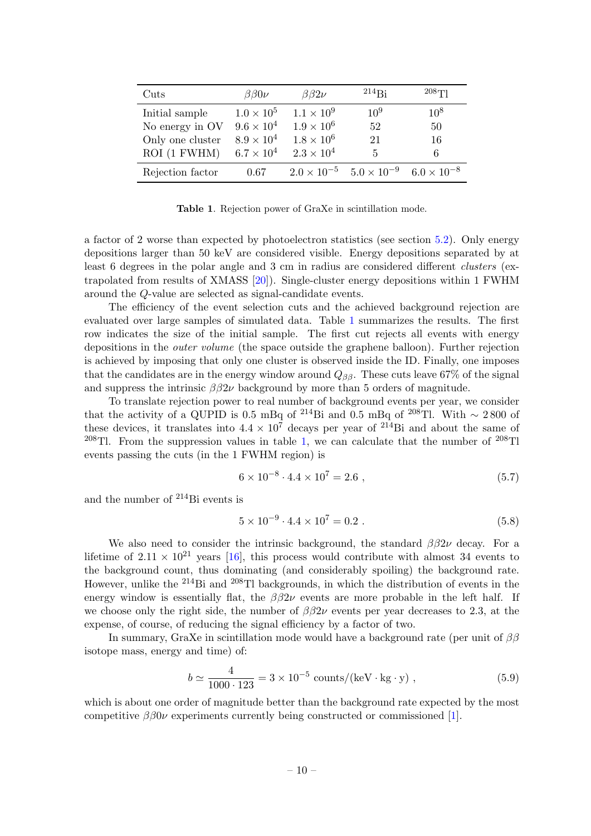| Cuts             | $\beta\beta 0 \nu$  | $\beta\beta2\nu$     | $^{214}$ Bi          | 208T1                |
|------------------|---------------------|----------------------|----------------------|----------------------|
| Initial sample   | $1.0 \times 10^5$   | $1.1 \times 10^{9}$  | $10^9$               | $10^8$               |
| No energy in OV  | $9.6 \times 10^{4}$ | $1.9 \times 10^{6}$  | 52                   | 50                   |
| Only one cluster | $8.9 \times 10^4$   | $1.8 \times 10^{6}$  | 21                   | 16                   |
| ROI (1 FWHM)     | $6.7 \times 10^4$   | $2.3 \times 10^{4}$  | 5                    | 6                    |
| Rejection factor | 0.67                | $2.0 \times 10^{-5}$ | $5.0 \times 10^{-9}$ | $6.0 \times 10^{-8}$ |

<span id="page-10-0"></span>Table 1. Rejection power of GraXe in scintillation mode.

a factor of 2 worse than expected by photoelectron statistics (see section [5.2\)](#page-9-0). Only energy depositions larger than 50 keV are considered visible. Energy depositions separated by at least 6 degrees in the polar angle and 3 cm in radius are considered different clusters (extrapolated from results of XMASS [\[20\]](#page-15-7)). Single-cluster energy depositions within 1 FWHM around the Q-value are selected as signal-candidate events.

The efficiency of the event selection cuts and the achieved background rejection are evaluated over large samples of simulated data. Table [1](#page-10-0) summarizes the results. The first row indicates the size of the initial sample. The first cut rejects all events with energy depositions in the outer volume (the space outside the graphene balloon). Further rejection is achieved by imposing that only one cluster is observed inside the ID. Finally, one imposes that the candidates are in the energy window around  $Q_{\beta\beta}$ . These cuts leave 67% of the signal and suppress the intrinsic  $\beta \beta 2\nu$  background by more than 5 orders of magnitude.

To translate rejection power to real number of background events per year, we consider that the activity of a QUPID is 0.5 mBq of <sup>214</sup>Bi and 0.5 mBq of <sup>208</sup>Tl. With ~ 2800 of these devices, it translates into  $4.4 \times 10^7$  decays per year of <sup>214</sup>Bi and about the same of <sup>208</sup>Tl. From the suppression values in table [1,](#page-10-0) we can calculate that the number of <sup>208</sup>Tl events passing the cuts (in the 1 FWHM region) is

$$
6 \times 10^{-8} \cdot 4.4 \times 10^7 = 2.6 \tag{5.7}
$$

and the number of <sup>214</sup>Bi events is

$$
5 \times 10^{-9} \cdot 4.4 \times 10^7 = 0.2 \tag{5.8}
$$

We also need to consider the intrinsic background, the standard  $\beta\beta 2\nu$  decay. For a lifetime of  $2.11 \times 10^{21}$  years [\[16\]](#page-15-3), this process would contribute with almost 34 events to the background count, thus dominating (and considerably spoiling) the background rate. However, unlike the <sup>214</sup>Bi and <sup>208</sup>Tl backgrounds, in which the distribution of events in the energy window is essentially flat, the  $\beta\beta 2\nu$  events are more probable in the left half. If we choose only the right side, the number of  $\beta\beta 2\nu$  events per year decreases to 2.3, at the expense, of course, of reducing the signal efficiency by a factor of two.

In summary, GraXe in scintillation mode would have a background rate (per unit of  $\beta\beta$ isotope mass, energy and time) of:

$$
b \simeq \frac{4}{1000 \cdot 123} = 3 \times 10^{-5} \text{ counts/(keV} \cdot \text{kg} \cdot \text{y)}, \qquad (5.9)
$$

which is about one order of magnitude better than the background rate expected by the most competitive  $\beta\beta 0\nu$  experiments currently being constructed or commissioned [\[1\]](#page-14-0).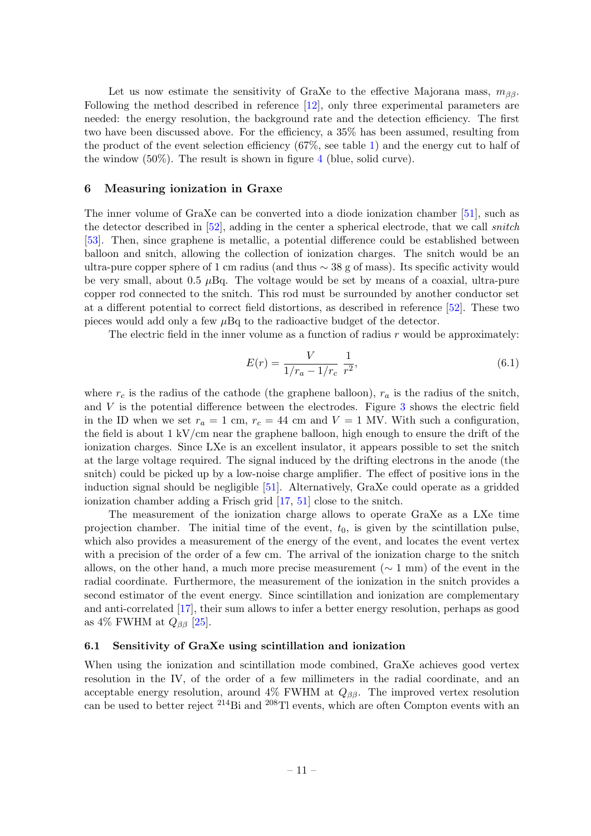Let us now estimate the sensitivity of GraXe to the effective Majorana mass,  $m_{\beta\beta}$ . Following the method described in reference [\[12\]](#page-14-9), only three experimental parameters are needed: the energy resolution, the background rate and the detection efficiency. The first two have been discussed above. For the efficiency, a 35% has been assumed, resulting from the product of the event selection efficiency (67%, see table [1\)](#page-10-0) and the energy cut to half of the window  $(50\%)$ . The result is shown in figure [4](#page-13-1) (blue, solid curve).

#### <span id="page-11-0"></span>6 Measuring ionization in Graxe

The inner volume of GraXe can be converted into a diode ionization chamber [\[51\]](#page-17-2), such as the detector described in [\[52\]](#page-17-3), adding in the center a spherical electrode, that we call snitch [\[53\]](#page-17-4). Then, since graphene is metallic, a potential difference could be established between balloon and snitch, allowing the collection of ionization charges. The snitch would be an ultra-pure copper sphere of 1 cm radius (and thus ∼ 38 g of mass). Its specific activity would be very small, about 0.5  $\mu$ Bq. The voltage would be set by means of a coaxial, ultra-pure copper rod connected to the snitch. This rod must be surrounded by another conductor set at a different potential to correct field distortions, as described in reference [\[52\]](#page-17-3). These two pieces would add only a few  $\mu$ Bq to the radioactive budget of the detector.

The electric field in the inner volume as a function of radius  $r$  would be approximately:

$$
E(r) = \frac{V}{1/r_a - 1/r_c} \frac{1}{r^2},\tag{6.1}
$$

where  $r_c$  is the radius of the cathode (the graphene balloon),  $r_a$  is the radius of the snitch, and  $V$  is the potential difference between the electrodes. Figure  $3$  shows the electric field in the ID when we set  $r_a = 1$  cm,  $r_c = 44$  cm and  $V = 1$  MV. With such a configuration, the field is about  $1 \frac{\mathrm{kV}}{\mathrm{cm}}$  near the graphene balloon, high enough to ensure the drift of the ionization charges. Since LXe is an excellent insulator, it appears possible to set the snitch at the large voltage required. The signal induced by the drifting electrons in the anode (the snitch) could be picked up by a low-noise charge amplifier. The effect of positive ions in the induction signal should be negligible [\[51\]](#page-17-2). Alternatively, GraXe could operate as a gridded ionization chamber adding a Frisch grid [\[17,](#page-15-4) [51\]](#page-17-2) close to the snitch.

The measurement of the ionization charge allows to operate GraXe as a LXe time projection chamber. The initial time of the event,  $t_0$ , is given by the scintillation pulse, which also provides a measurement of the energy of the event, and locates the event vertex with a precision of the order of a few cm. The arrival of the ionization charge to the snitch allows, on the other hand, a much more precise measurement ( $\sim 1$  mm) of the event in the radial coordinate. Furthermore, the measurement of the ionization in the snitch provides a second estimator of the event energy. Since scintillation and ionization are complementary and anti-correlated [\[17\]](#page-15-4), their sum allows to infer a better energy resolution, perhaps as good as 4% FWHM at  $Q_{\beta\beta}$  [\[25\]](#page-15-12).

#### <span id="page-11-1"></span>6.1 Sensitivity of GraXe using scintillation and ionization

When using the ionization and scintillation mode combined, GraXe achieves good vertex resolution in the IV, of the order of a few millimeters in the radial coordinate, and an acceptable energy resolution, around  $4\%$  FWHM at  $Q_{\beta\beta}$ . The improved vertex resolution can be used to better reject  $^{214}$ Bi and  $^{208}$ Tl events, which are often Compton events with an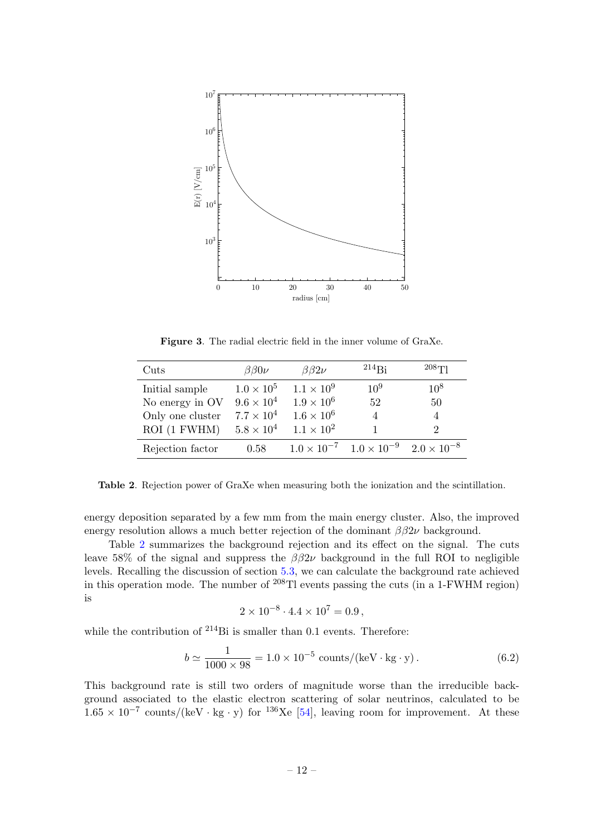

<span id="page-12-0"></span>Figure 3. The radial electric field in the inner volume of GraXe.

| Cuts             | $\beta\beta 0 \nu$ | $\beta\beta 2\nu$   | $214R_i$                                  | $208$ T                     |
|------------------|--------------------|---------------------|-------------------------------------------|-----------------------------|
| Initial sample   | $1.0 \times 10^5$  | $1.1 \times 10^{9}$ | $10^{9}$                                  | $10^8$                      |
| No energy in OV  | $9.6 \times 10^4$  | $1.9 \times 10^{6}$ | 52                                        | 50                          |
| Only one cluster | $7.7 \times 10^4$  | $1.6 \times 10^{6}$ | $\overline{4}$                            | $\overline{4}$              |
| ROI (1 FWHM)     | $5.8 \times 10^4$  | $1.1 \times 10^{2}$ |                                           | $\mathcal{D}_{\mathcal{L}}$ |
| Rejection factor | 0.58               |                     | $1.0 \times 10^{-7}$ $1.0 \times 10^{-9}$ | $2.0 \times 10^{-8}$        |

<span id="page-12-1"></span>Table 2. Rejection power of GraXe when measuring both the ionization and the scintillation.

energy deposition separated by a few mm from the main energy cluster. Also, the improved energy resolution allows a much better rejection of the dominant  $\beta \beta 2\nu$  background.

Table [2](#page-12-1) summarizes the background rejection and its effect on the signal. The cuts leave 58% of the signal and suppress the  $\beta\beta 2\nu$  background in the full ROI to negligible levels. Recalling the discussion of section [5.3,](#page-9-1) we can calculate the background rate achieved in this operation mode. The number of  $^{208}$ Tl events passing the cuts (in a 1-FWHM region) is

$$
2 \times 10^{-8} \cdot 4.4 \times 10^7 = 0.9
$$
,

while the contribution of <sup>214</sup>Bi is smaller than 0.1 events. Therefore:

$$
b \simeq \frac{1}{1000 \times 98} = 1.0 \times 10^{-5} \text{ counts/(keV} \cdot \text{kg} \cdot \text{y}). \tag{6.2}
$$

This background rate is still two orders of magnitude worse than the irreducible background associated to the elastic electron scattering of solar neutrinos, calculated to be  $1.65 \times 10^{-7}$  counts/(keV · kg · y) for <sup>136</sup>Xe [\[54\]](#page-17-5), leaving room for improvement. At these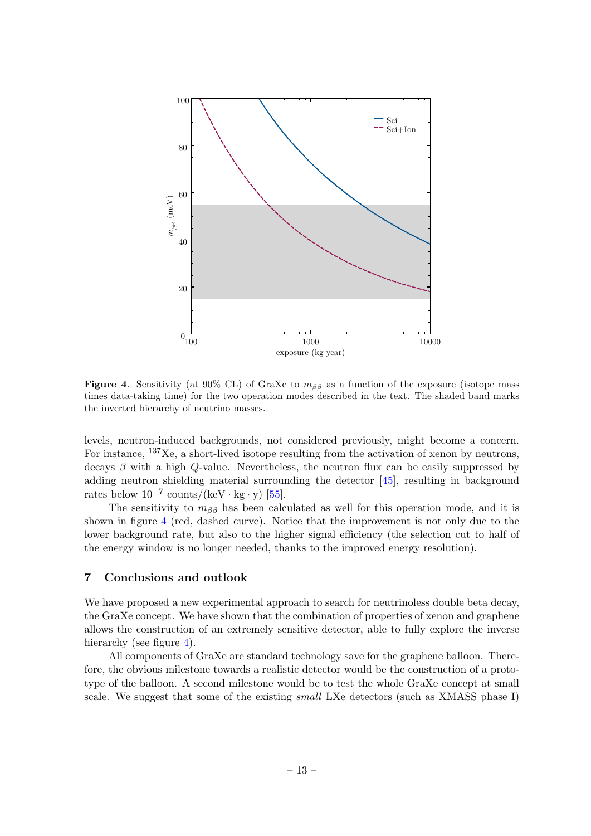

<span id="page-13-1"></span>Figure 4. Sensitivity (at 90% CL) of GraXe to  $m_{\beta\beta}$  as a function of the exposure (isotope mass times data-taking time) for the two operation modes described in the text. The shaded band marks the inverted hierarchy of neutrino masses.

levels, neutron-induced backgrounds, not considered previously, might become a concern. For instance, <sup>137</sup>Xe, a short-lived isotope resulting from the activation of xenon by neutrons, decays  $\beta$  with a high Q-value. Nevertheless, the neutron flux can be easily suppressed by adding neutron shielding material surrounding the detector [\[45\]](#page-16-11), resulting in background rates below  $10^{-7}$  counts/(keV · kg · y) [\[55\]](#page-17-6).

The sensitivity to  $m_{\beta\beta}$  has been calculated as well for this operation mode, and it is shown in figure [4](#page-13-1) (red, dashed curve). Notice that the improvement is not only due to the lower background rate, but also to the higher signal efficiency (the selection cut to half of the energy window is no longer needed, thanks to the improved energy resolution).

#### <span id="page-13-0"></span>7 Conclusions and outlook

We have proposed a new experimental approach to search for neutrinoless double beta decay, the GraXe concept. We have shown that the combination of properties of xenon and graphene allows the construction of an extremely sensitive detector, able to fully explore the inverse hierarchy (see figure [4\)](#page-13-1).

All components of GraXe are standard technology save for the graphene balloon. Therefore, the obvious milestone towards a realistic detector would be the construction of a prototype of the balloon. A second milestone would be to test the whole GraXe concept at small scale. We suggest that some of the existing *small* LXe detectors (such as XMASS phase I)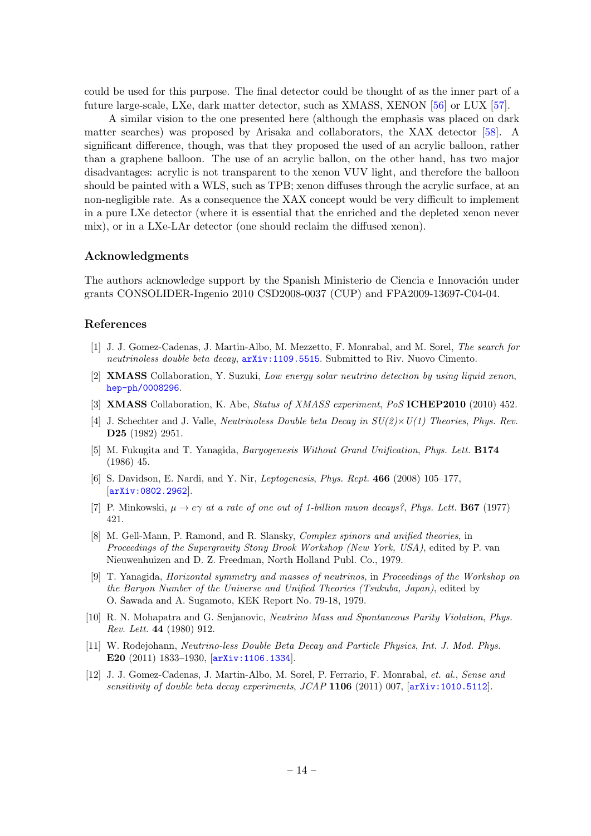could be used for this purpose. The final detector could be thought of as the inner part of a future large-scale, LXe, dark matter detector, such as XMASS, XENON [\[56\]](#page-17-7) or LUX [\[57\]](#page-17-8).

A similar vision to the one presented here (although the emphasis was placed on dark matter searches) was proposed by Arisaka and collaborators, the XAX detector [\[58\]](#page-17-9). A significant difference, though, was that they proposed the used of an acrylic balloon, rather than a graphene balloon. The use of an acrylic ballon, on the other hand, has two major disadvantages: acrylic is not transparent to the xenon VUV light, and therefore the balloon should be painted with a WLS, such as TPB; xenon diffuses through the acrylic surface, at an non-negligible rate. As a consequence the XAX concept would be very difficult to implement in a pure LXe detector (where it is essential that the enriched and the depleted xenon never mix), or in a LXe-LAr detector (one should reclaim the diffused xenon).

#### Acknowledgments

The authors acknowledge support by the Spanish Ministerio de Ciencia e Innovación under grants CONSOLIDER-Ingenio 2010 CSD2008-0037 (CUP) and FPA2009-13697-C04-04.

## References

- <span id="page-14-0"></span>[1] J. J. Gomez-Cadenas, J. Martin-Albo, M. Mezzetto, F. Monrabal, and M. Sorel, The search for neutrinoless double beta decay, [arXiv:1109.5515](http://xxx.lanl.gov/abs/1109.5515). Submitted to Riv. Nuovo Cimento.
- <span id="page-14-1"></span>[2] XMASS Collaboration, Y. Suzuki, Low energy solar neutrino detection by using liquid xenon, [hep-ph/0008296](http://xxx.lanl.gov/abs/hep-ph/0008296).
- <span id="page-14-2"></span>[3] XMASS Collaboration, K. Abe, Status of XMASS experiment, PoS ICHEP2010 (2010) 452.
- <span id="page-14-3"></span>[4] J. Schechter and J. Valle, *Neutrinoless Double beta Decay in*  $SU(2) \times U(1)$  *Theories, Phys. Rev.* D25 (1982) 2951.
- <span id="page-14-4"></span>[5] M. Fukugita and T. Yanagida, *Baryogenesis Without Grand Unification*, *Phys. Lett.* **B174** (1986) 45.
- <span id="page-14-5"></span>[6] S. Davidson, E. Nardi, and Y. Nir, Leptogenesis, Phys. Rept. 466 (2008) 105–177, [[arXiv:0802.2962](http://xxx.lanl.gov/abs/0802.2962)].
- <span id="page-14-6"></span>[7] P. Minkowski,  $\mu \to e\gamma$  at a rate of one out of 1-billion muon decays?, Phys. Lett. **B67** (1977) 421.
- [8] M. Gell-Mann, P. Ramond, and R. Slansky, Complex spinors and unified theories, in Proceedings of the Supergravity Stony Brook Workshop (New York, USA), edited by P. van Nieuwenhuizen and D. Z. Freedman, North Holland Publ. Co., 1979.
- [9] T. Yanagida, Horizontal symmetry and masses of neutrinos, in Proceedings of the Workshop on the Baryon Number of the Universe and Unified Theories (Tsukuba, Japan), edited by O. Sawada and A. Sugamoto, KEK Report No. 79-18, 1979.
- <span id="page-14-7"></span>[10] R. N. Mohapatra and G. Senjanovic, Neutrino Mass and Spontaneous Parity Violation, Phys. Rev. Lett. 44 (1980) 912.
- <span id="page-14-8"></span>[11] W. Rodejohann, Neutrino-less Double Beta Decay and Particle Physics, Int. J. Mod. Phys. E20 (2011) 1833–1930, [[arXiv:1106.1334](http://xxx.lanl.gov/abs/1106.1334)].
- <span id="page-14-9"></span>[12] J. J. Gomez-Cadenas, J. Martin-Albo, M. Sorel, P. Ferrario, F. Monrabal, et. al., Sense and sensitivity of double beta decay experiments,  $JCAP$  1106 (2011) 007, [[arXiv:1010.5112](http://xxx.lanl.gov/abs/1010.5112)].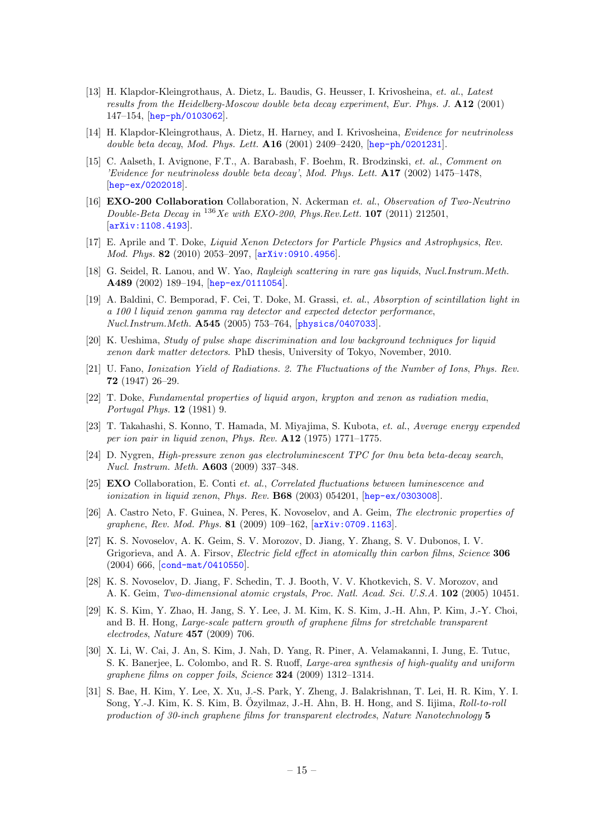- <span id="page-15-0"></span>[13] H. Klapdor-Kleingrothaus, A. Dietz, L. Baudis, G. Heusser, I. Krivosheina, et. al., Latest results from the Heidelberg-Moscow double beta decay experiment, Eur. Phys. J. A12 (2001) 147–154, [[hep-ph/0103062](http://xxx.lanl.gov/abs/hep-ph/0103062)].
- <span id="page-15-1"></span>[14] H. Klapdor-Kleingrothaus, A. Dietz, H. Harney, and I. Krivosheina, Evidence for neutrinoless double beta decay, Mod. Phys. Lett.  $A16$  (2001) 2409–2420, [[hep-ph/0201231](http://xxx.lanl.gov/abs/hep-ph/0201231)].
- <span id="page-15-2"></span>[15] C. Aalseth, I. Avignone, F.T., A. Barabash, F. Boehm, R. Brodzinski, et. al., Comment on 'Evidence for neutrinoless double beta decay', Mod. Phys. Lett. A17 (2002) 1475–1478, [[hep-ex/0202018](http://xxx.lanl.gov/abs/hep-ex/0202018)].
- <span id="page-15-3"></span>[16] **EXO-200 Collaboration** Collaboration, N. Ackerman et. al., Observation of Two-Neutrino Double-Beta Decay in  $^{136}Xe$  with EXO-200, Phys. Rev. Lett. 107 (2011) 212501. [[arXiv:1108.4193](http://xxx.lanl.gov/abs/1108.4193)].
- <span id="page-15-4"></span>[17] E. Aprile and T. Doke, Liquid Xenon Detectors for Particle Physics and Astrophysics, Rev. Mod. Phys. 82 (2010) 2053–2097, [[arXiv:0910.4956](http://xxx.lanl.gov/abs/0910.4956)].
- <span id="page-15-5"></span>[18] G. Seidel, R. Lanou, and W. Yao, Rayleigh scattering in rare gas liquids, Nucl.Instrum.Meth. A489 (2002) 189–194, [[hep-ex/0111054](http://xxx.lanl.gov/abs/hep-ex/0111054)].
- <span id="page-15-6"></span>[19] A. Baldini, C. Bemporad, F. Cei, T. Doke, M. Grassi, et. al., Absorption of scintillation light in a 100 l liquid xenon gamma ray detector and expected detector performance, Nucl.Instrum.Meth. A545 (2005) 753–764, [[physics/0407033](http://xxx.lanl.gov/abs/physics/0407033)].
- <span id="page-15-7"></span>[20] K. Ueshima, Study of pulse shape discrimination and low background techniques for liquid xenon dark matter detectors. PhD thesis, University of Tokyo, November, 2010.
- <span id="page-15-8"></span>[21] U. Fano, Ionization Yield of Radiations. 2. The Fluctuations of the Number of Ions, Phys. Rev. 72 (1947) 26–29.
- <span id="page-15-9"></span>[22] T. Doke, Fundamental properties of liquid argon, krypton and xenon as radiation media, Portugal Phys. 12 (1981) 9.
- <span id="page-15-10"></span>[23] T. Takahashi, S. Konno, T. Hamada, M. Miyajima, S. Kubota, et. al., Average energy expended per ion pair in liquid xenon, Phys. Rev. A12 (1975) 1771–1775.
- <span id="page-15-11"></span>[24] D. Nygren, High-pressure xenon gas electroluminescent TPC for 0nu beta beta-decay search, Nucl. Instrum. Meth. A603 (2009) 337–348.
- <span id="page-15-12"></span>[25] EXO Collaboration, E. Conti et. al., Correlated fluctuations between luminescence and ionization in liquid xenon, Phys. Rev.  $B68$  (2003) 054201,  $[hep-ex/0303008]$  $[hep-ex/0303008]$  $[hep-ex/0303008]$ .
- <span id="page-15-13"></span>[26] A. Castro Neto, F. Guinea, N. Peres, K. Novoselov, and A. Geim, The electronic properties of graphene, Rev. Mod. Phys. 81 (2009) 109–162, [[arXiv:0709.1163](http://xxx.lanl.gov/abs/0709.1163)].
- <span id="page-15-14"></span>[27] K. S. Novoselov, A. K. Geim, S. V. Morozov, D. Jiang, Y. Zhang, S. V. Dubonos, I. V. Grigorieva, and A. A. Firsov, *Electric field effect in atomically thin carbon films, Science* 306 (2004) 666, [[cond-mat/0410550](http://xxx.lanl.gov/abs/cond-mat/0410550)].
- <span id="page-15-15"></span>[28] K. S. Novoselov, D. Jiang, F. Schedin, T. J. Booth, V. V. Khotkevich, S. V. Morozov, and A. K. Geim, Two-dimensional atomic crystals, Proc. Natl. Acad. Sci. U.S.A. 102 (2005) 10451.
- <span id="page-15-16"></span>[29] K. S. Kim, Y. Zhao, H. Jang, S. Y. Lee, J. M. Kim, K. S. Kim, J.-H. Ahn, P. Kim, J.-Y. Choi, and B. H. Hong, Large-scale pattern growth of graphene films for stretchable transparent electrodes, Nature 457 (2009) 706.
- [30] X. Li, W. Cai, J. An, S. Kim, J. Nah, D. Yang, R. Piner, A. Velamakanni, I. Jung, E. Tutuc, S. K. Banerjee, L. Colombo, and R. S. Ruoff, Large-area synthesis of high-quality and uniform graphene films on copper foils, Science 324 (2009) 1312–1314.
- <span id="page-15-17"></span>[31] S. Bae, H. Kim, Y. Lee, X. Xu, J.-S. Park, Y. Zheng, J. Balakrishnan, T. Lei, H. R. Kim, Y. I. Song, Y.-J. Kim, K. S. Kim, B. Özyilmaz, J.-H. Ahn, B. H. Hong, and S. Iijima, *Roll-to-roll* production of 30-inch graphene films for transparent electrodes, Nature Nanotechnology 5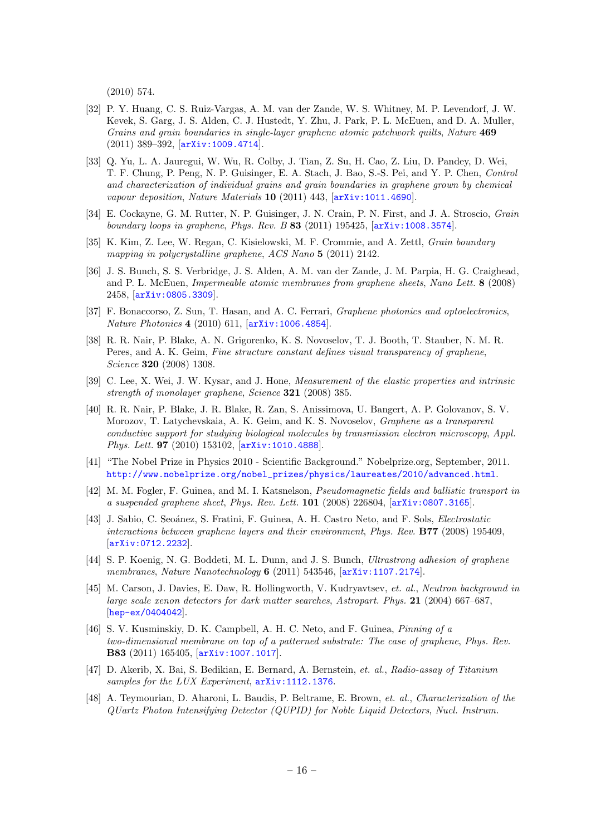(2010) 574.

- <span id="page-16-0"></span>[32] P. Y. Huang, C. S. Ruiz-Vargas, A. M. van der Zande, W. S. Whitney, M. P. Levendorf, J. W. Kevek, S. Garg, J. S. Alden, C. J. Hustedt, Y. Zhu, J. Park, P. L. McEuen, and D. A. Muller, Grains and grain boundaries in single-layer graphene atomic patchwork quilts, Nature 469 (2011) 389–392, [[arXiv:1009.4714](http://xxx.lanl.gov/abs/1009.4714)].
- [33] Q. Yu, L. A. Jauregui, W. Wu, R. Colby, J. Tian, Z. Su, H. Cao, Z. Liu, D. Pandey, D. Wei, T. F. Chung, P. Peng, N. P. Guisinger, E. A. Stach, J. Bao, S.-S. Pei, and Y. P. Chen, Control and characterization of individual grains and grain boundaries in graphene grown by chemical vapour deposition, Nature Materials  $10$  (2011) 443,  $\text{arXiv:1011.4690}$  $\text{arXiv:1011.4690}$  $\text{arXiv:1011.4690}$ .
- [34] E. Cockayne, G. M. Rutter, N. P. Guisinger, J. N. Crain, P. N. First, and J. A. Stroscio, Grain boundary loops in graphene, Phys. Rev. B 83 (2011) 195425, [[arXiv:1008.3574](http://xxx.lanl.gov/abs/1008.3574)].
- <span id="page-16-1"></span>[35] K. Kim, Z. Lee, W. Regan, C. Kisielowski, M. F. Crommie, and A. Zettl, Grain boundary mapping in polycrystalline graphene, ACS Nano 5 (2011) 2142.
- <span id="page-16-2"></span>[36] J. S. Bunch, S. S. Verbridge, J. S. Alden, A. M. van der Zande, J. M. Parpia, H. G. Craighead, and P. L. McEuen, Impermeable atomic membranes from graphene sheets, Nano Lett. 8 (2008) 2458, [[arXiv:0805.3309](http://xxx.lanl.gov/abs/0805.3309)].
- <span id="page-16-3"></span>[37] F. Bonaccorso, Z. Sun, T. Hasan, and A. C. Ferrari, *Graphene photonics and optoelectronics*, Nature Photonics 4 (2010) 611, [[arXiv:1006.4854](http://xxx.lanl.gov/abs/1006.4854)].
- <span id="page-16-4"></span>[38] R. R. Nair, P. Blake, A. N. Grigorenko, K. S. Novoselov, T. J. Booth, T. Stauber, N. M. R. Peres, and A. K. Geim, Fine structure constant defines visual transparency of graphene, Science 320 (2008) 1308.
- <span id="page-16-5"></span>[39] C. Lee, X. Wei, J. W. Kysar, and J. Hone, Measurement of the elastic properties and intrinsic strength of monolayer graphene, Science 321 (2008) 385.
- <span id="page-16-6"></span>[40] R. R. Nair, P. Blake, J. R. Blake, R. Zan, S. Anissimova, U. Bangert, A. P. Golovanov, S. V. Morozov, T. Latychevskaia, A. K. Geim, and K. S. Novoselov, Graphene as a transparent conductive support for studying biological molecules by transmission electron microscopy, Appl. Phys. Lett. **97** (2010) 153102,  $\overline{arXiv:1010.4888}$  $\overline{arXiv:1010.4888}$  $\overline{arXiv:1010.4888}$ .
- <span id="page-16-7"></span>[41] "The Nobel Prize in Physics 2010 - Scientific Background." Nobelprize.org, September, 2011. [http://www.nobelprize.org/nobel\\_prizes/physics/laureates/2010/advanced.html](http://www.nobelprize.org/nobel_prizes/physics/laureates/2010/advanced.html).
- <span id="page-16-8"></span>[42] M. M. Fogler, F. Guinea, and M. I. Katsnelson, Pseudomagnetic fields and ballistic transport in a suspended graphene sheet, Phys. Rev. Lett. 101 (2008) 226804, [[arXiv:0807.3165](http://xxx.lanl.gov/abs/0807.3165)].
- <span id="page-16-9"></span>[43] J. Sabio, C. Seoánez, S. Fratini, F. Guinea, A. H. Castro Neto, and F. Sols, *Electrostatic* interactions between graphene layers and their environment, Phys. Rev. B77 (2008) 195409, [[arXiv:0712.2232](http://xxx.lanl.gov/abs/0712.2232)].
- <span id="page-16-10"></span>[44] S. P. Koenig, N. G. Boddeti, M. L. Dunn, and J. S. Bunch, Ultrastrong adhesion of graphene membranes, Nature Nanotechnology 6 (2011) 543546,  $arXiv:1107.2174$ .
- <span id="page-16-11"></span>[45] M. Carson, J. Davies, E. Daw, R. Hollingworth, V. Kudryavtsev, et. al., Neutron background in large scale xenon detectors for dark matter searches, Astropart. Phys. 21 (2004) 667–687, [[hep-ex/0404042](http://xxx.lanl.gov/abs/hep-ex/0404042)].
- <span id="page-16-12"></span>[46] S. V. Kusminskiy, D. K. Campbell, A. H. C. Neto, and F. Guinea, Pinning of a two-dimensional membrane on top of a patterned substrate: The case of graphene, Phys. Rev. B83 (2011) 165405, [[arXiv:1007.1017](http://xxx.lanl.gov/abs/1007.1017)].
- <span id="page-16-13"></span>[47] D. Akerib, X. Bai, S. Bedikian, E. Bernard, A. Bernstein, et. al., Radio-assay of Titanium samples for the LUX Experiment,  $arXiv:1112.1376$ .
- <span id="page-16-14"></span>[48] A. Teymourian, D. Aharoni, L. Baudis, P. Beltrame, E. Brown, et. al., Characterization of the QUartz Photon Intensifying Detector (QUPID) for Noble Liquid Detectors, Nucl. Instrum.